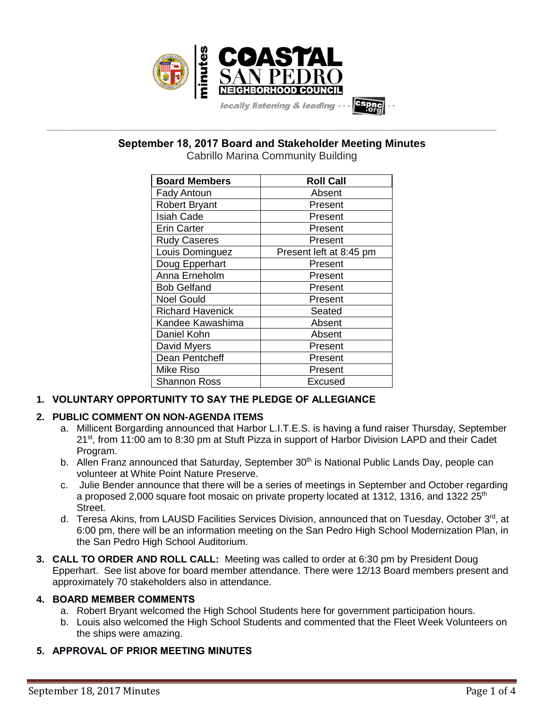

**\_\_\_\_\_\_\_\_\_\_\_\_\_\_\_\_\_\_\_\_\_\_\_\_\_\_\_\_\_\_\_\_\_\_\_\_\_\_\_\_\_\_\_\_\_\_\_\_\_\_\_\_\_\_\_\_\_\_\_\_\_\_\_\_\_\_\_\_\_\_\_\_\_\_\_\_\_\_\_\_\_\_\_\_\_\_\_\_\_\_\_\_\_\_\_\_\_\_\_\_\_\_\_\_\_\_\_\_\_\_\_\_\_ September 18, 2017 Board and Stakeholder Meeting Minutes**

Cabrillo Marina Community Building

| <b>Board Members</b>    | <b>Roll Call</b>        |
|-------------------------|-------------------------|
| <b>Fady Antoun</b>      | Absent                  |
| <b>Robert Bryant</b>    | Present                 |
| <b>Isiah Cade</b>       | Present                 |
| <b>Erin Carter</b>      | Present                 |
| <b>Rudy Caseres</b>     | Present                 |
| Louis Dominguez         | Present left at 8:45 pm |
| Doug Epperhart          | Present                 |
| Anna Erneholm           | Present                 |
| <b>Bob Gelfand</b>      | Present                 |
| <b>Noel Gould</b>       | Present                 |
| <b>Richard Havenick</b> | Seated                  |
| Kandee Kawashima        | Absent                  |
| Daniel Kohn             | Absent                  |
| David Myers             | Present                 |
| Dean Pentcheff          | Present                 |
| <b>Mike Riso</b>        | Present                 |
| <b>Shannon Ross</b>     | Excused                 |

# **1. VOLUNTARY OPPORTUNITY TO SAY THE PLEDGE OF ALLEGIANCE**

# **2. PUBLIC COMMENT ON NON-AGENDA ITEMS**

- a. Millicent Borgarding announced that Harbor L.I.T.E.S. is having a fund raiser Thursday, September 21<sup>st</sup>, from 11:00 am to 8:30 pm at Stuft Pizza in support of Harbor Division LAPD and their Cadet Program.
- b. Allen Franz announced that Saturday, September 30<sup>th</sup> is National Public Lands Day, people can volunteer at White Point Nature Preserve.
- c. Julie Bender announce that there will be a series of meetings in September and October regarding a proposed 2,000 square foot mosaic on private property located at 1312, 1316, and 1322 25<sup>th</sup> Street.
- d. Teresa Akins, from LAUSD Facilities Services Division, announced that on Tuesday, October  $3^{\text{rd}}$ , at 6:00 pm, there will be an information meeting on the San Pedro High School Modernization Plan, in the San Pedro High School Auditorium.
- **3. CALL TO ORDER AND ROLL CALL:** Meeting was called to order at 6:30 pm by President Doug Epperhart. See list above for board member attendance. There were 12/13 Board members present and approximately 70 stakeholders also in attendance.

## **4. BOARD MEMBER COMMENTS**

- a. Robert Bryant welcomed the High School Students here for government participation hours.
- b. Louis also welcomed the High School Students and commented that the Fleet Week Volunteers on the ships were amazing.
- **5. APPROVAL OF PRIOR MEETING MINUTES**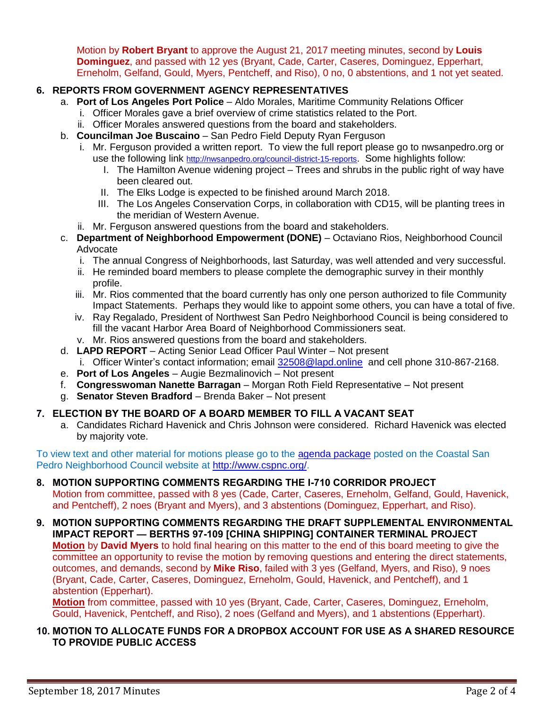Motion by **Robert Bryant** to approve the August 21, 2017 meeting minutes, second by **Louis Dominguez**, and passed with 12 yes (Bryant, Cade, Carter, Caseres, Dominguez, Epperhart, Erneholm, Gelfand, Gould, Myers, Pentcheff, and Riso), 0 no, 0 abstentions, and 1 not yet seated.

# **6. REPORTS FROM GOVERNMENT AGENCY REPRESENTATIVES**

- a. **Port of Los Angeles Port Police** Aldo Morales, Maritime Community Relations Officer
	- i. Officer Morales gave a brief overview of crime statistics related to the Port.
	- ii. Officer Morales answered questions from the board and stakeholders.
- b. **Councilman Joe Buscaino** San Pedro Field Deputy Ryan Ferguson
	- i. Mr. Ferguson provided a written report. To view the full report please go to nwsanpedro.org or use the following link [http://nwsanpedro.org/council-district-15-reports](http://nwsanpedro.org/council-district-15-reports/). Some highlights follow:
		- I. The Hamilton Avenue widening project Trees and shrubs in the public right of way have been cleared out.
		- II. The Elks Lodge is expected to be finished around March 2018.
		- III. The Los Angeles Conservation Corps, in collaboration with CD15, will be planting trees in the meridian of Western Avenue.
	- ii. Mr. Ferguson answered questions from the board and stakeholders.
- c. **Department of Neighborhood Empowerment (DONE)** Octaviano Rios, Neighborhood Council Advocate
	- i. The annual Congress of Neighborhoods, last Saturday, was well attended and very successful.
	- ii. He reminded board members to please complete the demographic survey in their monthly profile.
	- iii. Mr. Rios commented that the board currently has only one person authorized to file Community Impact Statements. Perhaps they would like to appoint some others, you can have a total of five.
	- iv. Ray Regalado, President of Northwest San Pedro Neighborhood Council is being considered to fill the vacant Harbor Area Board of Neighborhood Commissioners seat.
	- v. Mr. Rios answered questions from the board and stakeholders.
- d. **LAPD REPORT** Acting Senior Lead Officer Paul Winter Not present i. Officer Winter's contact information; email [32508@lapd.online](mailto:32508@lapd.online) and cell phone 310-867-2168.
- e. **Port of Los Angeles** Augie Bezmalinovich Not present
- f. **Congresswoman Nanette Barragan** Morgan Roth Field Representative Not present
- g. **Senator Steven Bradford** Brenda Baker Not present

# **7. ELECTION BY THE BOARD OF A BOARD MEMBER TO FILL A VACANT SEAT**

a. Candidates Richard Havenick and Chris Johnson were considered. Richard Havenick was elected by majority vote.

To view text and other material for motions please go to the [agenda package](http://www.cspnc.org/wp-content/uploads/2017/09/2017-09-18-CoastalSPNC-BoardAgenda-1.pdf) posted on the Coastal San Pedro Neighborhood Council website at [http://www.cspnc.org/.](http://www.cspnc.org/)

#### **8. MOTION SUPPORTING COMMENTS REGARDING THE I-710 CORRIDOR PROJECT** Motion from committee, passed with 8 yes (Cade, Carter, Caseres, Erneholm, Gelfand, Gould, Havenick, and Pentcheff), 2 noes (Bryant and Myers), and 3 abstentions (Dominguez, Epperhart, and Riso).

**9. MOTION SUPPORTING COMMENTS REGARDING THE DRAFT SUPPLEMENTAL ENVIRONMENTAL IMPACT REPORT — BERTHS 97-109 [CHINA SHIPPING] CONTAINER TERMINAL PROJECT Motion** by **David Myers** to hold final hearing on this matter to the end of this board meeting to give the committee an opportunity to revise the motion by removing questions and entering the direct statements, outcomes, and demands, second by **Mike Riso**, failed with 3 yes (Gelfand, Myers, and Riso), 9 noes (Bryant, Cade, Carter, Caseres, Dominguez, Erneholm, Gould, Havenick, and Pentcheff), and 1 abstention (Epperhart).

**Motion** from committee, passed with 10 yes (Bryant, Cade, Carter, Caseres, Dominguez, Erneholm, Gould, Havenick, Pentcheff, and Riso), 2 noes (Gelfand and Myers), and 1 abstentions (Epperhart).

## **10. MOTION TO ALLOCATE FUNDS FOR A DROPBOX ACCOUNT FOR USE AS A SHARED RESOURCE TO PROVIDE PUBLIC ACCESS**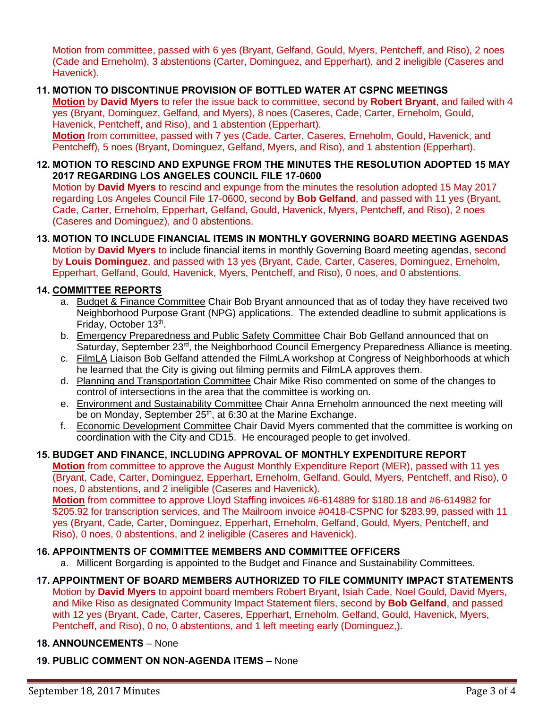Motion from committee, passed with 6 yes (Bryant, Gelfand, Gould, Myers, Pentcheff, and Riso), 2 noes (Cade and Erneholm), 3 abstentions (Carter, Dominguez, and Epperhart), and 2 ineligible (Caseres and Havenick).

## **11. MOTION TO DISCONTINUE PROVISION OF BOTTLED WATER AT CSPNC MEETINGS**

**Motion** by **David Myers** to refer the issue back to committee, second by **Robert Bryant**, and failed with 4 yes (Bryant, Dominguez, Gelfand, and Myers), 8 noes (Caseres, Cade, Carter, Erneholm, Gould, Havenick, Pentcheff, and Riso), and 1 abstention (Epperhart). **Motion** from committee, passed with 7 yes (Cade, Carter, Caseres, Erneholm, Gould, Havenick, and

Pentcheff), 5 noes (Bryant, Dominguez, Gelfand, Myers, and Riso), and 1 abstention (Epperhart).

### **12. MOTION TO RESCIND AND EXPUNGE FROM THE MINUTES THE RESOLUTION ADOPTED 15 MAY 2017 REGARDING LOS ANGELES COUNCIL FILE 17-0600**

Motion by **David Myers** to rescind and expunge from the minutes the resolution adopted 15 May 2017 regarding Los Angeles Council File 17-0600, second by **Bob Gelfand**, and passed with 11 yes (Bryant, Cade, Carter, Erneholm, Epperhart, Gelfand, Gould, Havenick, Myers, Pentcheff, and Riso), 2 noes (Caseres and Dominguez), and 0 abstentions.

**13. MOTION TO INCLUDE FINANCIAL ITEMS IN MONTHLY GOVERNING BOARD MEETING AGENDAS** Motion by **David Myers** to include financial items in monthly Governing Board meeting agendas, second by **Louis Dominguez**, and passed with 13 yes (Bryant, Cade, Carter, Caseres, Dominguez, Erneholm, Epperhart, Gelfand, Gould, Havenick, Myers, Pentcheff, and Riso), 0 noes, and 0 abstentions.

## **14. COMMITTEE REPORTS**

- a. Budget & Finance Committee Chair Bob Bryant announced that as of today they have received two Neighborhood Purpose Grant (NPG) applications. The extended deadline to submit applications is Friday, October 13th.
- b. Emergency Preparedness and Public Safety Committee Chair Bob Gelfand announced that on Saturday, September 23<sup>rd</sup>, the Neighborhood Council Emergency Preparedness Alliance is meeting.
- c. FilmLA Liaison Bob Gelfand attended the FilmLA workshop at Congress of Neighborhoods at which he learned that the City is giving out filming permits and FilmLA approves them.
- d. Planning and Transportation Committee Chair Mike Riso commented on some of the changes to control of intersections in the area that the committee is working on.
- e. Environment and Sustainability Committee Chair Anna Erneholm announced the next meeting will be on Monday, September  $25<sup>th</sup>$ , at 6:30 at the Marine Exchange.
- f. Economic Development Committee Chair David Myers commented that the committee is working on coordination with the City and CD15. He encouraged people to get involved.

## **15. BUDGET AND FINANCE, INCLUDING APPROVAL OF MONTHLY EXPENDITURE REPORT**

**Motion** from committee to approve the August Monthly Expenditure Report (MER), passed with 11 yes (Bryant, Cade, Carter, Dominguez, Epperhart, Erneholm, Gelfand, Gould, Myers, Pentcheff, and Riso), 0 noes, 0 abstentions, and 2 ineligible (Caseres and Havenick).

**Motion** from committee to approve Lloyd Staffing invoices #6-614889 for \$180.18 and #6-614982 for \$205.92 for transcription services, and The Mailroom invoice #0418-CSPNC for \$283.99, passed with 11 yes (Bryant, Cade, Carter, Dominguez, Epperhart, Erneholm, Gelfand, Gould, Myers, Pentcheff, and Riso), 0 noes, 0 abstentions, and 2 ineligible (Caseres and Havenick).

## **16. APPOINTMENTS OF COMMITTEE MEMBERS AND COMMITTEE OFFICERS**

a. Millicent Borgarding is appointed to the Budget and Finance and Sustainability Committees.

### **17. APPOINTMENT OF BOARD MEMBERS AUTHORIZED TO FILE COMMUNITY IMPACT STATEMENTS** Motion by **David Myers** to appoint board members Robert Bryant, Isiah Cade, Noel Gould, David Myers,

and Mike Riso as designated Community Impact Statement filers, second by **Bob Gelfand**, and passed with 12 yes (Bryant, Cade, Carter, Caseres, Epperhart, Erneholm, Gelfand, Gould, Havenick, Myers, Pentcheff, and Riso), 0 no, 0 abstentions, and 1 left meeting early (Dominguez,).

## **18. ANNOUNCEMENTS** – None

#### **19. PUBLIC COMMENT ON NON-AGENDA ITEMS** – None